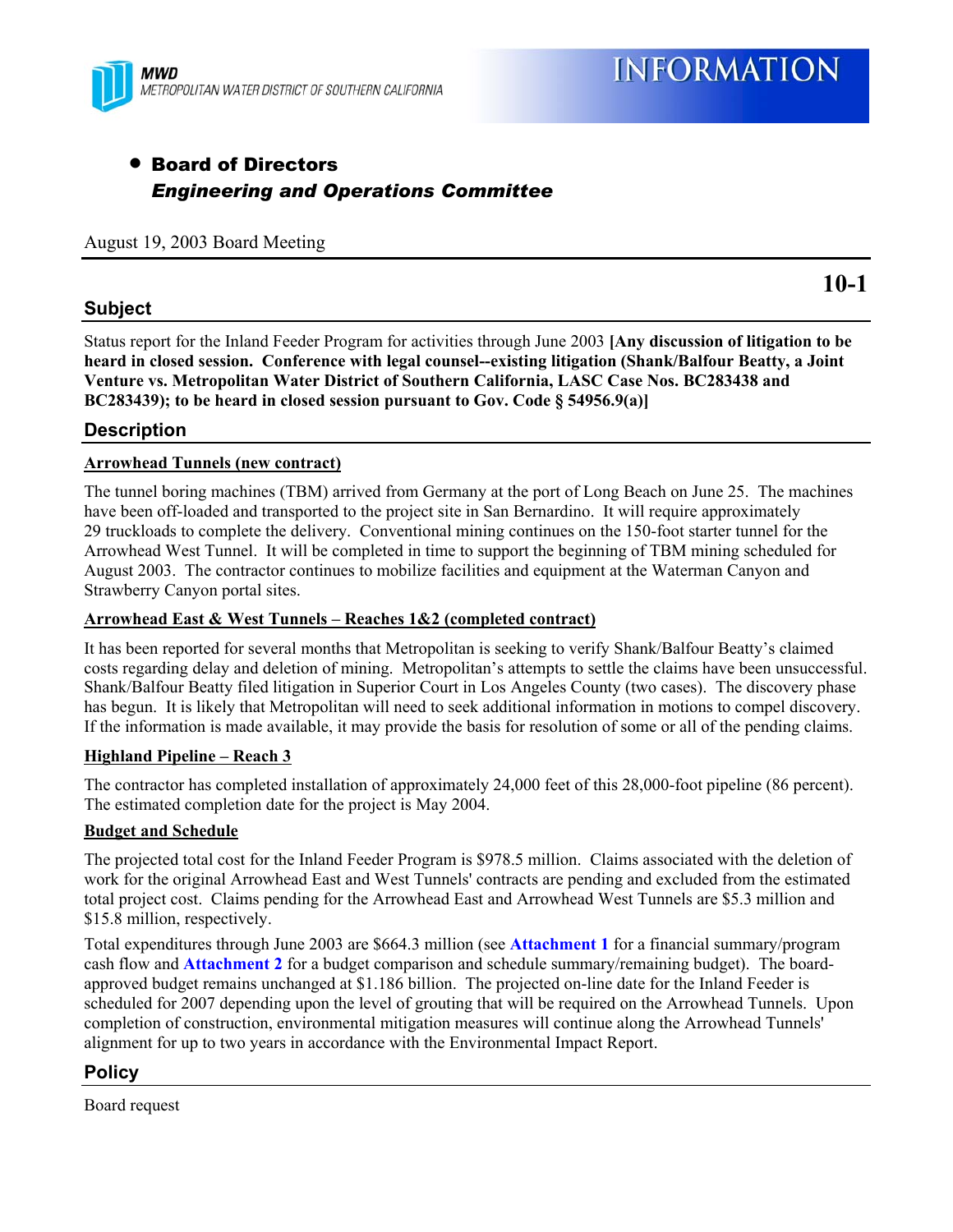

# • Board of Directors *Engineering and Operations Committee*

#### August 19, 2003 Board Meeting

## **Subject**

Status report for the Inland Feeder Program for activities through June 2003 **[Any discussion of litigation to be heard in closed session. Conference with legal counsel--existing litigation (Shank/Balfour Beatty, a Joint Venture vs. Metropolitan Water District of Southern California, LASC Case Nos. BC283438 and BC283439); to be heard in closed session pursuant to Gov. Code § 54956.9(a)]**

## **Description**

#### **Arrowhead Tunnels (new contract)**

The tunnel boring machines (TBM) arrived from Germany at the port of Long Beach on June 25. The machines have been off-loaded and transported to the project site in San Bernardino. It will require approximately 29 truckloads to complete the delivery. Conventional mining continues on the 150-foot starter tunnel for the Arrowhead West Tunnel. It will be completed in time to support the beginning of TBM mining scheduled for August 2003. The contractor continues to mobilize facilities and equipment at the Waterman Canyon and Strawberry Canyon portal sites.

#### **Arrowhead East & West Tunnels – Reaches 1&2 (completed contract)**

It has been reported for several months that Metropolitan is seeking to verify Shank/Balfour Beatty's claimed costs regarding delay and deletion of mining. Metropolitan's attempts to settle the claims have been unsuccessful. Shank/Balfour Beatty filed litigation in Superior Court in Los Angeles County (two cases). The discovery phase has begun. It is likely that Metropolitan will need to seek additional information in motions to compel discovery. If the information is made available, it may provide the basis for resolution of some or all of the pending claims.

#### **Highland Pipeline – Reach 3**

The contractor has completed installation of approximately 24,000 feet of this 28,000-foot pipeline (86 percent). The estimated completion date for the project is May 2004.

#### **Budget and Schedule**

The projected total cost for the Inland Feeder Program is \$978.5 million. Claims associated with the deletion of work for the original Arrowhead East and West Tunnels' contracts are pending and excluded from the estimated total project cost. Claims pending for the Arrowhead East and Arrowhead West Tunnels are \$5.3 million and \$15.8 million, respectively.

Total expenditures through June 2003 are \$664.3 million (see **Attachment 1** for a financial summary/program cash flow and **Attachment 2** for a budget comparison and schedule summary/remaining budget). The boardapproved budget remains unchanged at \$1.186 billion. The projected on-line date for the Inland Feeder is scheduled for 2007 depending upon the level of grouting that will be required on the Arrowhead Tunnels. Upon completion of construction, environmental mitigation measures will continue along the Arrowhead Tunnels' alignment for up to two years in accordance with the Environmental Impact Report.

# **Policy**

Board request

**10-1**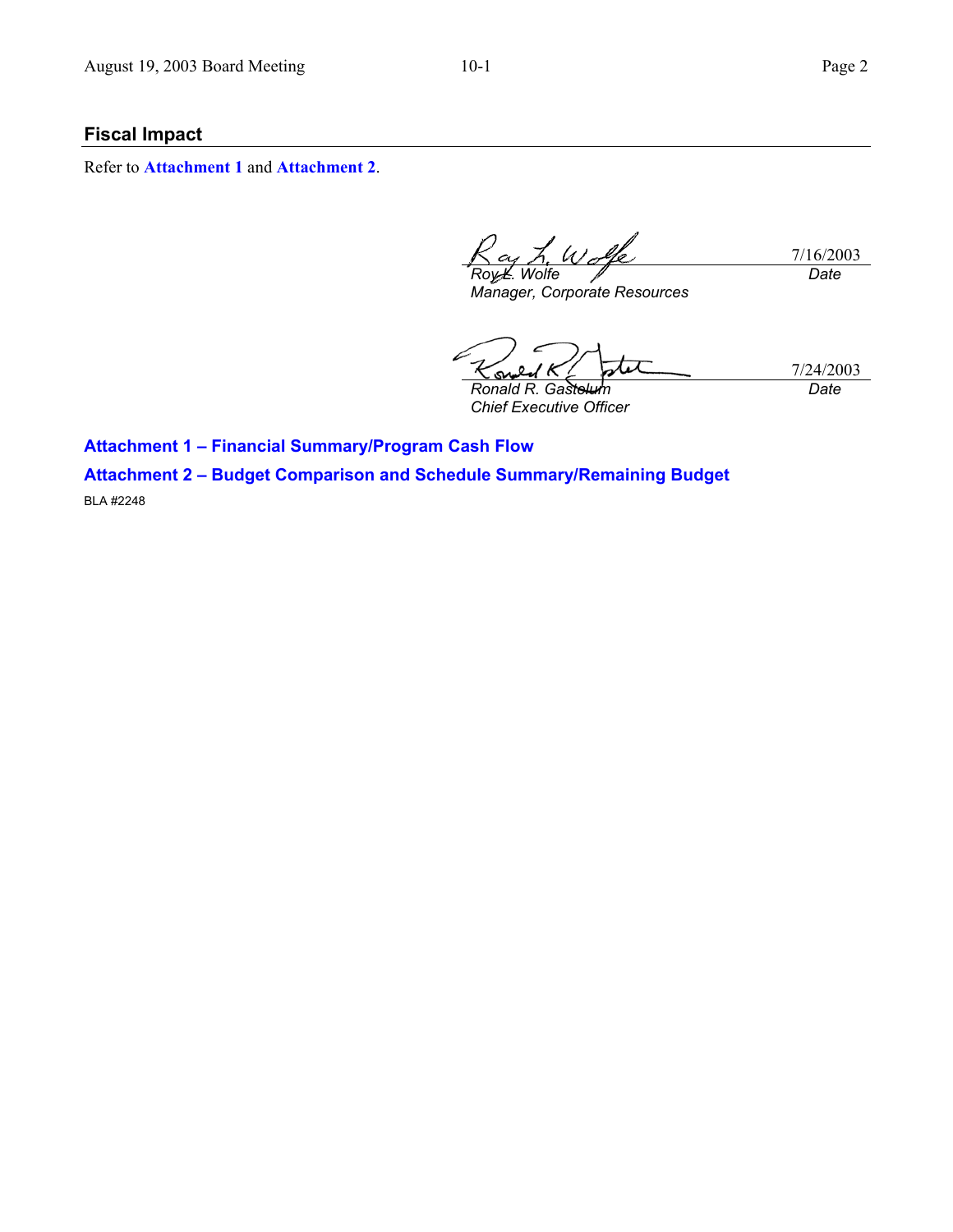# **Fiscal Impact**

Refer to **Attachment 1** and **Attachment 2**.

L. Wolke 7/16/2003 *Wolfe Date* 

*Manager, Corporate Resources* 

7/24/2003 **Ronald R. Gastelu** *Chief Executive Officer Date* 

**Attachment 1 – Financial Summary/Program Cash Flow** 

**Attachment 2 – Budget Comparison and Schedule Summary/Remaining Budget**  BLA #2248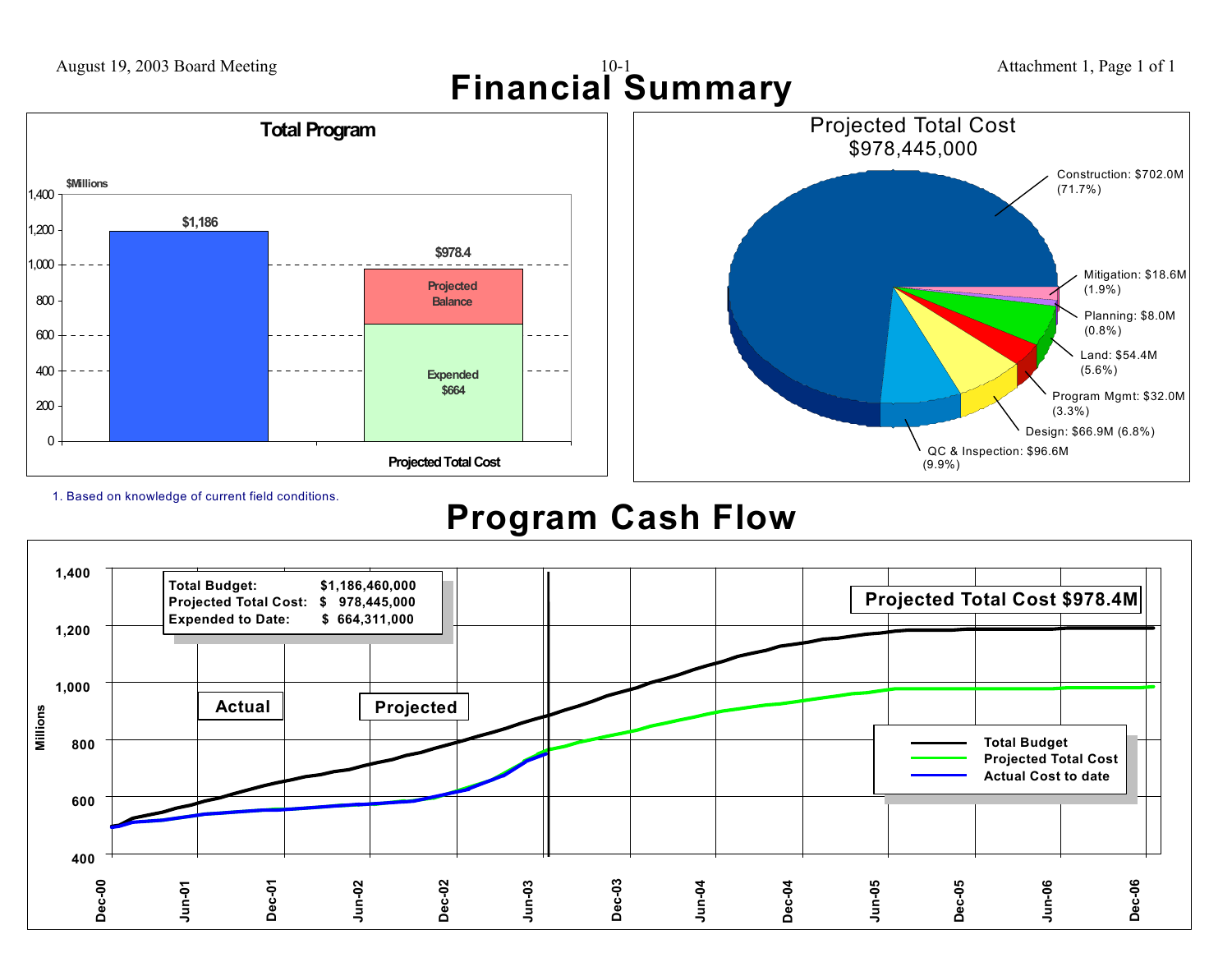

**Projected Total Cost**



1. Based on knowledge of current field conditions.

 $0 \cdot$ 

200

400

600

800

1,000

1,200

1,400

# **Program Cash Flow**